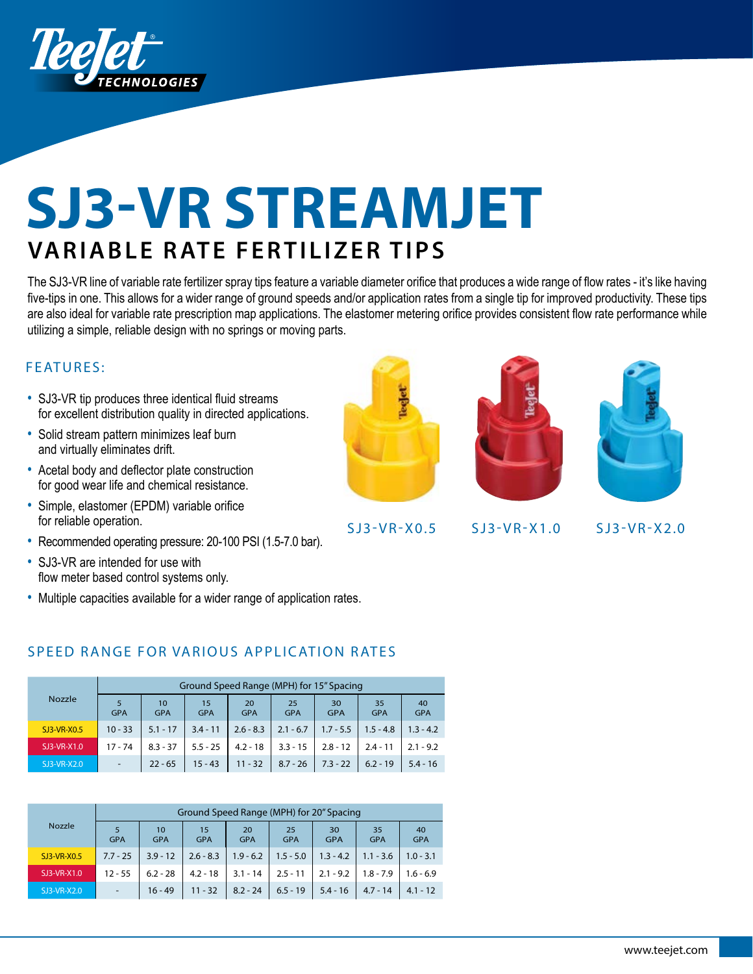

# **SJ3-VR STREAMJET VARIABLE RATE FERTILIZER TIPS**

The SJ3-VR line of variable rate fertilizer spray tips feature a variable diameter orifice that produces a wide range of flow rates - it's like having five-tips in one. This allows for a wider range of ground speeds and/or application rates from a single tip for improved productivity. These tips are also ideal for variable rate prescription map applications. The elastomer metering orifice provides consistent flow rate performance while utilizing a simple, reliable design with no springs or moving parts.

## FEATURES:

- SJ3-VR tip produces three identical fluid streams for excellent distribution quality in directed applications.
- Solid stream pattern minimizes leaf burn and virtually eliminates drift.
- Acetal body and deflector plate construction for good wear life and chemical resistance.
- Simple, elastomer (EPDM) variable orifice for reliable operation.
- Recommended operating pressure: 20-100 PSI (1.5-7.0 bar).
- SJ3-VR are intended for use with flow meter based control systems only.
- Multiple capacities available for a wider range of application rates.

## SPEED RANGE FOR VARIOUS APPLICATION RATES

|               |                                     | Ground Speed Range (MPH) for 15" Spacing |                                      |             |                  |                  |                  |                  |  |  |  |  |
|---------------|-------------------------------------|------------------------------------------|--------------------------------------|-------------|------------------|------------------|------------------|------------------|--|--|--|--|
| <b>Nozzle</b> | 5<br>10<br><b>GPA</b><br><b>GPA</b> |                                          | 20<br>15<br><b>GPA</b><br><b>GPA</b> |             | 25<br><b>GPA</b> | 30<br><b>GPA</b> | 35<br><b>GPA</b> | 40<br><b>GPA</b> |  |  |  |  |
| SJ3-VR-X0.5   | $10 - 33$                           | $5.1 - 17$                               | $3.4 - 11$                           | $2.6 - 8.3$ | $2.1 - 6.7$      | $1.7 - 5.5$      | $1.5 - 4.8$      | $1.3 - 4.2$      |  |  |  |  |
| SJ3-VR-X1.0   | $17 - 74$                           | $8.3 - 37$                               | $5.5 - 25$                           | $4.2 - 18$  | $3.3 - 15$       | $2.8 - 12$       | $2.4 - 11$       | $2.1 - 9.2$      |  |  |  |  |
| SJ3-VR-X2.0   | $\overline{\phantom{a}}$            | $22 - 65$                                | $15 - 43$                            | $11 - 32$   | $8.7 - 26$       | $7.3 - 22$       | $6.2 - 19$       | $5.4 - 16$       |  |  |  |  |

|               |                                     |            | Ground Speed Range (MPH) for 20" Spacing |             |                  |                  |                  |                  |  |  |  |  |
|---------------|-------------------------------------|------------|------------------------------------------|-------------|------------------|------------------|------------------|------------------|--|--|--|--|
| <b>Nozzle</b> | 5<br>10<br><b>GPA</b><br><b>GPA</b> |            | 15<br>20<br><b>GPA</b><br><b>GPA</b>     |             | 25<br><b>GPA</b> | 30<br><b>GPA</b> | 35<br><b>GPA</b> | 40<br><b>GPA</b> |  |  |  |  |
| SJ3-VR-X0.5   | $7.7 - 25$                          | $3.9 - 12$ | $2.6 - 8.3$                              | $1.9 - 6.2$ | $1.5 - 5.0$      | $1.3 - 4.2$      | $1.1 - 3.6$      | $1.0 - 3.1$      |  |  |  |  |
| SJ3-VR-X1.0   | $12 - 55$                           | $6.2 - 28$ | $4.2 - 18$                               | $3.1 - 14$  | $2.5 - 11$       | $2.1 - 9.2$      | $1.8 - 7.9$      | $1.6 - 6.9$      |  |  |  |  |
| SJ3-VR-X2.0   |                                     | $16 - 49$  | $11 - 32$                                | $8.2 - 24$  | $6.5 - 19$       | $5.4 - 16$       | $4.7 - 14$       | $4.1 - 12$       |  |  |  |  |







SJ3-VR-X0.5 SJ3-VR-X1.0 S J 3 - V R - X 2.0

www.teejet.com